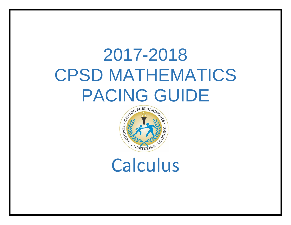# 2017-2018 CPSD MATHEMATICS PACING GUIDE



Calculus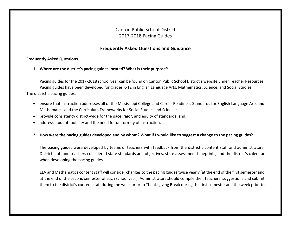# Canton Public School District 2017-2018 Pacing Guides

## **Frequently Asked Questions and Guidance**

### **Frequently Asked Questions**

**1. Where are the district's pacing guides located? What is their purpose?**

Pacing guides for the 2017-2018 school year can be found on Canton Public School District's website under Teacher Resources. Pacing guides have been developed for grades K-12 in English Language Arts, Mathematics, Science, and Social Studies. The district's pacing guides:

- ensure that instruction addresses all of the Mississippi College and Career Readiness Standards for English Language Arts and Mathematics and the Curriculum Frameworks for Social Studies and Science;
- provide consistency district-wide for the pace, rigor, and equity of standards; and,
- address student mobility and the need for uniformity of instruction.

## **2. How were the pacing guides developed and by whom? What if I would like to suggest a change to the pacing guides?**

The pacing guides were developed by teams of teachers with feedback from the district's content staff and administrators. District staff and teachers considered state standards and objectives, state assessment blueprints, and the district's calendar when developing the pacing guides.

ELA and Mathematics content staff will consider changes to the pacing guides twice yearly (at the end of the first semester and at the end of the second semester of each school year). Administrators should compile their teachers' suggestions and submit them to the district's content staff during the week prior to Thanksgiving Break during the first semester and the week prior to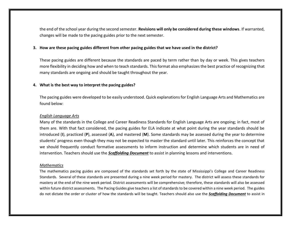the end of the school year during the second semester. **Revisions will only be considered during these windows**. If warranted, changes will be made to the pacing guides prior to the next semester.

#### **3. How are these pacing guides different from other pacing guides that we have used in the district?**

These pacing guides are different because the standards are paced by term rather than by day or week. This gives teachers more flexibility in deciding how and when to teach standards. This format also emphasizes the best practice of recognizing that many standards are ongoing and should be taught throughout the year.

#### **4. What is the best way to interpret the pacing guides?**

The pacing guides were developed to be easily understood. Quick explanations for English Language Arts and Mathematics are found below:

#### *English Language Arts*

Many of the standards in the College and Career Readiness Standards for English Language Arts are ongoing; in fact, most of them are. With that fact considered, the pacing guides for ELA indicate at what point during the year standards should be introduced (**I**), practiced (**P**), assessed (**A**), and mastered (**M**). Some standards may be assessed during the year to determine students' progress even though they may not be expected to master the standard until later. This reinforces the concept that we should frequently conduct formative assessments to inform instruction and determine which students are in need of intervention. Teachers should use the *Scaffolding Document* to assist in planning lessons and interventions.

#### *Mathematics*

The mathematics pacing guides are composed of the standards set forth by the state of Mississippi's College and Career Readiness Standards. Several of these standards are presented during a nine week period for mastery. The district will assess these standards for mastery at the end of the nine week period. District assessments will be comprehensive; therefore, these standards will also be assessed within future district assessments. The Pacing Guides give teachers a list of standards to be covered within a nine week period. The guides do not dictate the order or cluster of how the standards will be taught. Teachers should also use the *Scaffolding Document* to assist in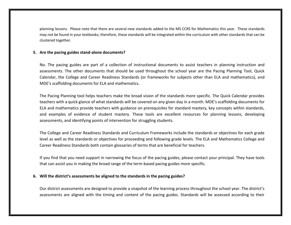planning lessons. Please note that there are several new standards added to the MS CCRS for Mathematics this year. These standards may not be found in your textbooks; therefore, these standards will be integrated within the curriculum with other standards that can be clustered together.

#### **5. Are the pacing guides stand-alone documents?**

No. The pacing guides are part of a collection of instructional documents to assist teachers in planning instruction and assessments. The other documents that should be used throughout the school year are the Pacing Planning Tool, Quick Calendar, the College and Career Readiness Standards (or frameworks for subjects other than ELA and mathematics), and MDE's scaffolding documents for ELA and mathematics.

The Pacing Planning tool helps teachers make the broad vision of the standards more specific. The Quick Calendar provides teachers with a quick glance of what standards will be covered on any given day in a month. MDE's scaffolding documents for ELA and mathematics provide teachers with guidance on prerequisites for standard mastery, key concepts within standards, and examples of evidence of student mastery. These tools are excellent resources for planning lessons, developing assessments, and identifying points of intervention for struggling students.

The College and Career Readiness Standards and Curriculum Frameworks include the standards or objectives for each grade level as well as the standards or objectives for proceeding and following grade levels. The ELA and Mathematics College and Career Readiness Standards both contain glossaries of terms that are beneficial for teachers.

If you find that you need support in narrowing the focus of the pacing guides, please contact your principal. They have tools that can assist you in making the broad range of the term-based pacing guides more specific.

#### **6. Will the district's assessments be aligned to the standards in the pacing guides?**

Our district assessments are designed to provide a snapshot of the learning process throughout the school year. The district's assessments are aligned with the timing and content of the pacing guides. Standards will be assessed according to their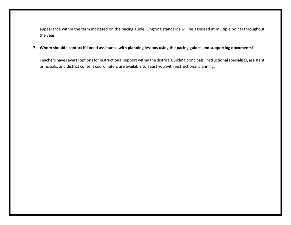appearance within the term indicated on the pacing guide. Ongoing standards will be assessed at multiple points throughout the year.

## **7. Whom should I contact if I need assistance with planning lessons using the pacing guides and supporting documents?**

Teachers have several options for instructional support within the district. Building principals, instructional specialists, assistant principals, and district content coordinators are available to assist you with instructional planning.